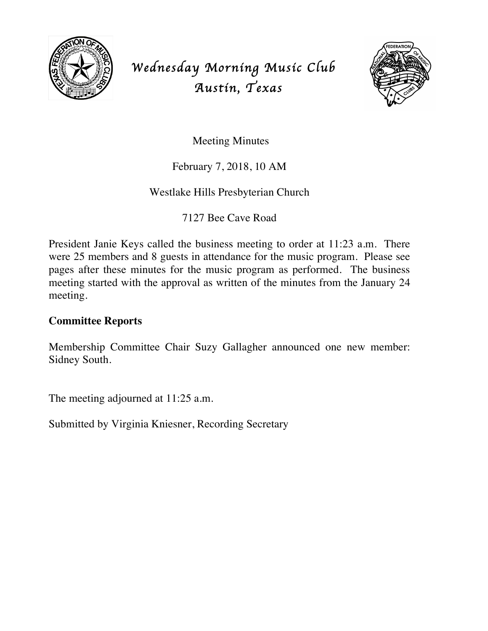

# *Wednesday Morning Music Club Austin, Texas*



Meeting Minutes

## February 7, 2018, 10 AM

### Westlake Hills Presbyterian Church

7127 Bee Cave Road

President Janie Keys called the business meeting to order at 11:23 a.m. There were 25 members and 8 guests in attendance for the music program. Please see pages after these minutes for the music program as performed. The business meeting started with the approval as written of the minutes from the January 24 meeting.

#### **Committee Reports**

Membership Committee Chair Suzy Gallagher announced one new member: Sidney South.

The meeting adjourned at 11:25 a.m.

Submitted by Virginia Kniesner, Recording Secretary